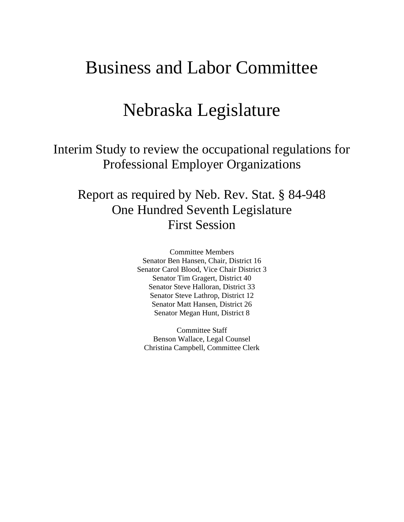# Business and Labor Committee

# Nebraska Legislature

Interim Study to review the occupational regulations for Professional Employer Organizations

## Report as required by Neb. Rev. Stat. § 84-948 One Hundred Seventh Legislature First Session

Committee Members Senator Ben Hansen, Chair, District 16 Senator Carol Blood, Vice Chair District 3 Senator Tim Gragert, District 40 Senator Steve Halloran, District 33 Senator Steve Lathrop, District 12 Senator Matt Hansen, District 26 Senator Megan Hunt, District 8

Committee Staff Benson Wallace, Legal Counsel Christina Campbell, Committee Clerk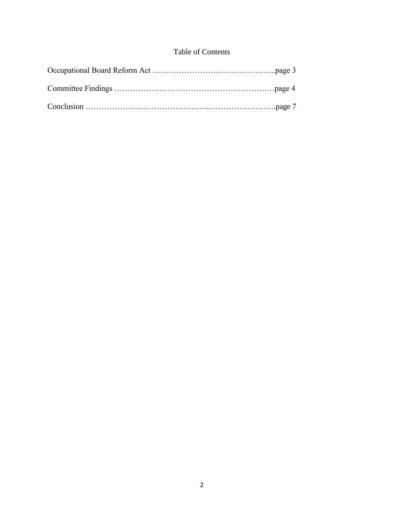### Table of Contents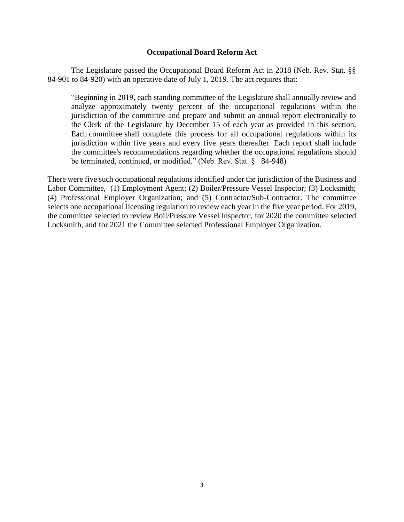#### **Occupational Board Reform Act**

The Legislature passed the Occupational Board Reform Act in 2018 (Neb. Rev. Stat. §§ 84-901 to 84-920) with an operative date of July 1, 2019. The act requires that:

"Beginning in 2019, each standing committee of the Legislature shall annually review and analyze approximately twenty percent of the occupational regulations within the jurisdiction of the committee and prepare and submit an annual report electronically to the Clerk of the Legislature by December 15 of each year as provided in this section. Each committee shall complete this process for all occupational regulations within its jurisdiction within five years and every five years thereafter. Each report shall include the committee's recommendations regarding whether the occupational regulations should be terminated, continued, or modified." (Neb. Rev. Stat. § 84-948)

There were five such occupational regulations identified under the jurisdiction of the Business and Labor Committee, (1) Employment Agent; (2) Boiler/Pressure Vessel Inspector; (3) Locksmith; (4) Professional Employer Organization; and (5) Contractor/Sub-Contractor. The committee selects one occupational licensing regulation to review each year in the five year period. For 2019, the committee selected to review Boil/Pressure Vessel Inspector, for 2020 the committee selected Locksmith, and for 2021 the Committee selected Professional Employer Organization.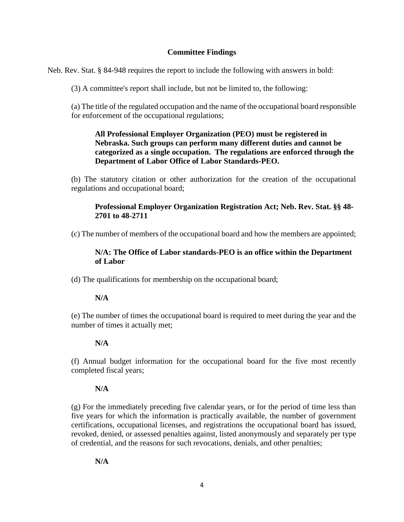#### **Committee Findings**

Neb. Rev. Stat. § 84-948 requires the report to include the following with answers in bold:

(3) A committee's report shall include, but not be limited to, the following:

(a) The title of the regulated occupation and the name of the occupational board responsible for enforcement of the occupational regulations;

### **All Professional Employer Organization (PEO) must be registered in Nebraska. Such groups can perform many different duties and cannot be categorized as a single occupation. The regulations are enforced through the Department of Labor Office of Labor Standards-PEO.**

(b) The statutory citation or other authorization for the creation of the occupational regulations and occupational board;

#### **Professional Employer Organization Registration Act; Neb. Rev. Stat. §§ 48- 2701 to 48-2711**

(c) The number of members of the occupational board and how the members are appointed;

#### **N/A: The Office of Labor standards-PEO is an office within the Department of Labor**

(d) The qualifications for membership on the occupational board;

### **N/A**

(e) The number of times the occupational board is required to meet during the year and the number of times it actually met;

### **N/A**

(f) Annual budget information for the occupational board for the five most recently completed fiscal years;

### **N/A**

(g) For the immediately preceding five calendar years, or for the period of time less than five years for which the information is practically available, the number of government certifications, occupational licenses, and registrations the occupational board has issued, revoked, denied, or assessed penalties against, listed anonymously and separately per type of credential, and the reasons for such revocations, denials, and other penalties;

**N/A**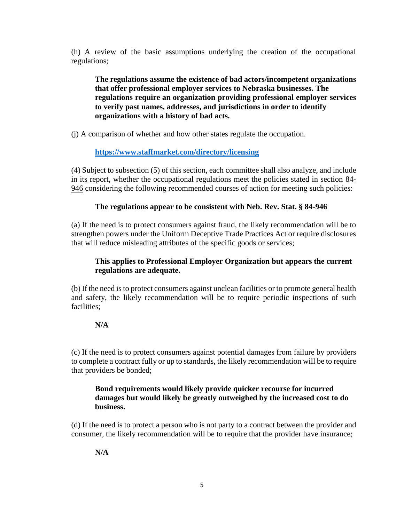(h) A review of the basic assumptions underlying the creation of the occupational regulations;

**The regulations assume the existence of bad actors/incompetent organizations that offer professional employer services to Nebraska businesses. The regulations require an organization providing professional employer services to verify past names, addresses, and jurisdictions in order to identify organizations with a history of bad acts.** 

(j) A comparison of whether and how other states regulate the occupation.

### **<https://www.staffmarket.com/directory/licensing>**

(4) Subject to subsection (5) of this section, each committee shall also analyze, and include in its report, whether the occupational regulations meet the policies stated in section 84- 946 considering the following recommended courses of action for meeting such policies:

### **The regulations appear to be consistent with Neb. Rev. Stat. § 84-946**

(a) If the need is to protect consumers against fraud, the likely recommendation will be to strengthen powers under the Uniform Deceptive Trade Practices Act or require disclosures that will reduce misleading attributes of the specific goods or services;

#### **This applies to Professional Employer Organization but appears the current regulations are adequate.**

(b) If the need is to protect consumers against unclean facilities or to promote general health and safety, the likely recommendation will be to require periodic inspections of such facilities;

### **N/A**

(c) If the need is to protect consumers against potential damages from failure by providers to complete a contract fully or up to standards, the likely recommendation will be to require that providers be bonded;

#### **Bond requirements would likely provide quicker recourse for incurred damages but would likely be greatly outweighed by the increased cost to do business.**

(d) If the need is to protect a person who is not party to a contract between the provider and consumer, the likely recommendation will be to require that the provider have insurance;

### **N/A**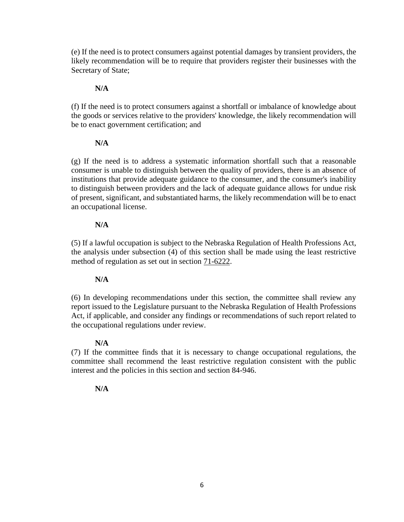(e) If the need is to protect consumers against potential damages by transient providers, the likely recommendation will be to require that providers register their businesses with the Secretary of State;

#### **N/A**

(f) If the need is to protect consumers against a shortfall or imbalance of knowledge about the goods or services relative to the providers' knowledge, the likely recommendation will be to enact government certification; and

#### **N/A**

(g) If the need is to address a systematic information shortfall such that a reasonable consumer is unable to distinguish between the quality of providers, there is an absence of institutions that provide adequate guidance to the consumer, and the consumer's inability to distinguish between providers and the lack of adequate guidance allows for undue risk of present, significant, and substantiated harms, the likely recommendation will be to enact an occupational license.

#### **N/A**

(5) If a lawful occupation is subject to the Nebraska Regulation of Health Professions Act, the analysis under subsection (4) of this section shall be made using the least restrictive method of regulation as set out in section 71-6222.

### **N/A**

(6) In developing recommendations under this section, the committee shall review any report issued to the Legislature pursuant to the Nebraska Regulation of Health Professions Act, if applicable, and consider any findings or recommendations of such report related to the occupational regulations under review.

### **N/A**

(7) If the committee finds that it is necessary to change occupational regulations, the committee shall recommend the least restrictive regulation consistent with the public interest and the policies in this section and section 84-946.

### **N/A**